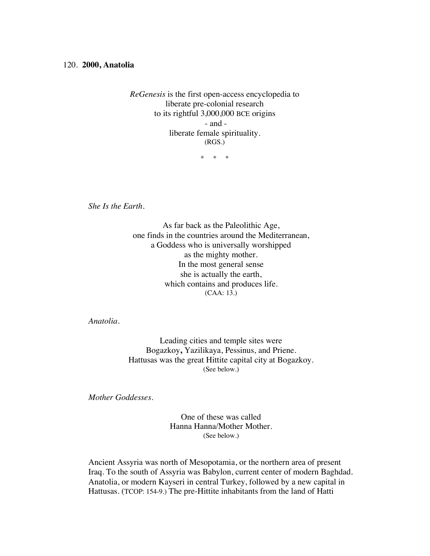## 120. **2000, Anatolia**

*ReGenesis* is the first open-access encyclopedia to liberate pre-colonial research to its rightful 3,000,000 BCE origins - and liberate female spirituality. (RGS.)

\* \* \*

*She Is the Earth.*

As far back as the Paleolithic Age, one finds in the countries around the Mediterranean, a Goddess who is universally worshipped as the mighty mother. In the most general sense she is actually the earth, which contains and produces life. (CAA: 13.)

*Anatolia.*

Leading cities and temple sites were Bogazkoy**,** Yazilikaya, Pessinus, and Priene. Hattusas was the great Hittite capital city at Bogazkoy. (See below.)

*Mother Goddesses.*

One of these was called Hanna Hanna/Mother Mother. (See below.)

Ancient Assyria was north of Mesopotamia, or the northern area of present Iraq. To the south of Assyria was Babylon, current center of modern Baghdad. Anatolia, or modern Kayseri in central Turkey, followed by a new capital in Hattusas. (TCOP: 154-9.) The pre-Hittite inhabitants from the land of Hatti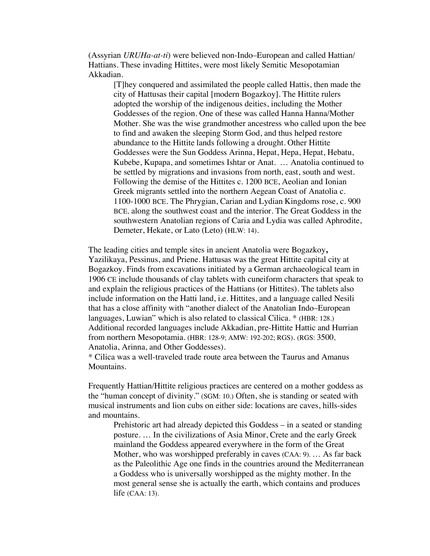(Assyrian *URUHa-at-ti*) were believed non-Indo–European and called Hattian/ Hattians. These invading Hittites, were most likely Semitic Mesopotamian Akkadian.

[T]hey conquered and assimilated the people called Hattis, then made the city of Hattusas their capital [modern Bogazkoy]. The Hittite rulers adopted the worship of the indigenous deities, including the Mother Goddesses of the region. One of these was called Hanna Hanna/Mother Mother. She was the wise grandmother ancestress who called upon the bee to find and awaken the sleeping Storm God, and thus helped restore abundance to the Hittite lands following a drought. Other Hittite Goddesses were the Sun Goddess Arinna, Hepat, Hepa, Hepat, Hebatu, Kubebe, Kupapa, and sometimes Ishtar or Anat. … Anatolia continued to be settled by migrations and invasions from north, east, south and west. Following the demise of the Hittites c. 1200 BCE, Aeolian and Ionian Greek migrants settled into the northern Aegean Coast of Anatolia c. 1100-1000 BCE. The Phrygian, Carian and Lydian Kingdoms rose, c. 900 BCE, along the southwest coast and the interior. The Great Goddess in the southwestern Anatolian regions of Caria and Lydia was called Aphrodite, Demeter, Hekate, or Lato (Leto) (HLW: 14).

The leading cities and temple sites in ancient Anatolia were Bogazkoy**,** Yazilikaya, Pessinus, and Priene. Hattusas was the great Hittite capital city at Bogazkoy. Finds from excavations initiated by a German archaeological team in 1906 CE include thousands of clay tablets with cuneiform characters that speak to and explain the religious practices of the Hattians (or Hittites). The tablets also include information on the Hatti land, i.e. Hittites, and a language called Nesili that has a close affinity with "another dialect of the Anatolian Indo–European languages, Luwian" which is also related to classical Cilica. \* (HBR: 128.) Additional recorded languages include Akkadian, pre-Hittite Hattic and Hurrian from northern Mesopotamia. (HBR: 128-9; AMW: 192-202; RGS). (RGS: 3500, Anatolia, Arinna, and Other Goddesses).

\* Cilica was a well-traveled trade route area between the Taurus and Amanus Mountains.

Frequently Hattian/Hittite religious practices are centered on a mother goddess as the "human concept of divinity." (SGM: 10.) Often, she is standing or seated with musical instruments and lion cubs on either side: locations are caves, hills-sides and mountains.

Prehistoric art had already depicted this Goddess – in a seated or standing posture. … In the civilizations of Asia Minor, Crete and the early Greek mainland the Goddess appeared everywhere in the form of the Great Mother, who was worshipped preferably in caves (CAA: 9). … As far back as the Paleolithic Age one finds in the countries around the Mediterranean a Goddess who is universally worshipped as the mighty mother. In the most general sense she is actually the earth, which contains and produces life (CAA: 13).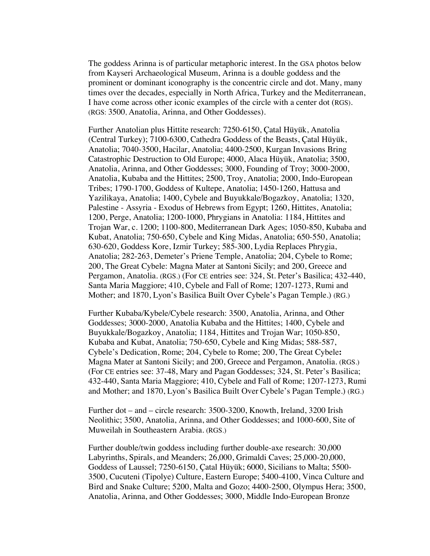The goddess Arinna is of particular metaphoric interest. In the GSA photos below from Kayseri Archaeological Museum, Arinna is a double goddess and the prominent or dominant iconography is the concentric circle and dot. Many, many times over the decades, especially in North Africa, Turkey and the Mediterranean, I have come across other iconic examples of the circle with a center dot (RGS). (RGS: 3500, Anatolia, Arinna, and Other Goddesses).

Further Anatolian plus Hittite research: 7250-6150, Çatal Hüyük, Anatolia (Central Turkey); 7100-6300, Cathedra Goddess of the Beasts, Çatal Hüyük, Anatolia; 7040-3500, Hacilar, Anatolia; 4400-2500, Kurgan Invasions Bring Catastrophic Destruction to Old Europe; 4000, Alaca Hüyük, Anatolia; 3500, Anatolia, Arinna, and Other Goddesses; 3000, Founding of Troy; 3000-2000, Anatolia, Kubaba and the Hittites; 2500, Troy, Anatolia; 2000, Indo-European Tribes; 1790-1700, Goddess of Kultepe, Anatolia; 1450-1260, Hattusa and Yazilikaya, Anatolia; 1400, Cybele and Buyukkale/Bogazkoy, Anatolia; 1320, Palestine - Assyria - Exodus of Hebrews from Egypt; 1260, Hittites, Anatolia; 1200, Perge, Anatolia; 1200-1000, Phrygians in Anatolia: 1184, Hittites and Trojan War, c. 1200; 1100-800, Mediterranean Dark Ages; 1050-850, Kubaba and Kubat, Anatolia; 750-650, Cybele and King Midas, Anatolia; 650-550, Anatolia; 630-620, Goddess Kore, Izmir Turkey; 585-300, Lydia Replaces Phrygia, Anatolia; 282-263, Demeter's Priene Temple, Anatolia; 204, Cybele to Rome; 200, The Great Cybele: Magna Mater at Santoni Sicily; and 200, Greece and Pergamon, Anatolia. (RGS.) (For CE entries see: 324, St. Peter's Basilica; 432-440, Santa Maria Maggiore; 410, Cybele and Fall of Rome; 1207-1273, Rumi and Mother; and 1870, Lyon's Basilica Built Over Cybele's Pagan Temple.) (RG.)

Further Kubaba/Kybele/Cybele research: 3500, Anatolia, Arinna, and Other Goddesses; 3000-2000, Anatolia Kubaba and the Hittites; 1400, Cybele and Buyukkale/Bogazkoy, Anatolia; 1184, Hittites and Trojan War; 1050-850, Kubaba and Kubat, Anatolia; 750-650, Cybele and King Midas; 588-587, Cybele's Dedication, Rome; 204, Cybele to Rome; 200, The Great Cybele**:**  Magna Mater at Santoni Sicily; and 200, Greece and Pergamon, Anatolia. (RGS.) (For CE entries see: 37-48, Mary and Pagan Goddesses; 324, St. Peter's Basilica; 432-440, Santa Maria Maggiore; 410, Cybele and Fall of Rome; 1207-1273, Rumi and Mother; and 1870, Lyon's Basilica Built Over Cybele's Pagan Temple.) (RG.)

Further dot – and – circle research: 3500-3200, Knowth, Ireland, 3200 Irish Neolithic; 3500, Anatolia, Arinna, and Other Goddesses; and 1000-600, Site of Muweilah in Southeastern Arabia. (RGS.)

Further double/twin goddess including further double-axe research: 30,000 Labyrinths, Spirals, and Meanders; 26,000, Grimaldi Caves; 25,000-20,000, Goddess of Laussel; 7250-6150, Çatal Hüyük; 6000, Sicilians to Malta; 5500- 3500, Cucuteni (Tipolye) Culture, Eastern Europe; 5400-4100, Vinca Culture and Bird and Snake Culture; 5200, Malta and Gozo; 4400-2500, Olympus Hera; 3500, Anatolia, Arinna, and Other Goddesses; 3000, Middle Indo-European Bronze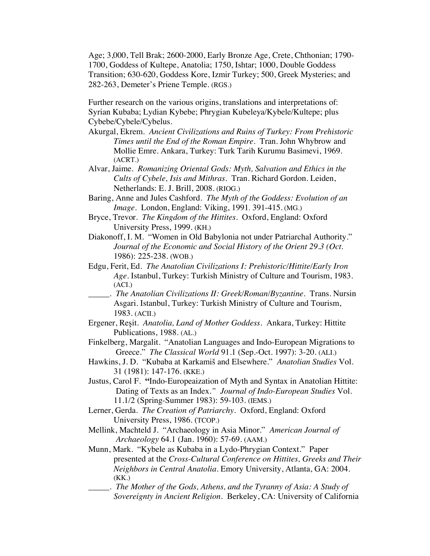Age; 3,000, Tell Brak; 2600-2000, Early Bronze Age, Crete, Chthonian; 1790- 1700, Goddess of Kultepe, Anatolia; 1750, Ishtar; 1000, Double Goddess Transition; 630-620, Goddess Kore, Izmir Turkey; 500, Greek Mysteries; and 282-263, Demeter's Priene Temple. (RGS.)

Further research on the various origins, translations and interpretations of: Syrian Kubaba; Lydian Kybebe; Phrygian Kubeleya/Kybele/Kultepe; plus Cybebe/Cybele/Cybelus.

- Akurgal, Ekrem*. Ancient Civilizations and Ruins of Turkey: From Prehistoric Times until the End of the Roman Empire*. Tran. John Whybrow and Mollie Emre. Ankara, Turkey: Turk Tarih Kurumu Basimevi, 1969. (ACRT.)
- Alvar, Jaime. *Romanizing Oriental Gods: Myth, Salvation and Ethics in the Cults of Cybele, Isis and Mithras*. Tran. Richard Gordon. Leiden, Netherlands: E. J. Brill, 2008. (RIOG.)
- Baring, Anne and Jules Cashford. *The Myth of the Goddess: Evolution of an Image*. London, England: Viking, 1991. 391-415. (MG.)
- Bryce, Trevor. *The Kingdom of the Hittites*. Oxford, England: Oxford University Press, 1999. (KH.)
- Diakonoff, I. M. "Women in Old Babylonia not under Patriarchal Authority." *Journal of the Economic and Social History of the Orient 29.3 (Oct.*  1986): 225-238. (WOB.)
- Edgu, Ferit, Ed. *The Anatolian Civilizations I: Prehistoric/Hittite/Early Iron Age*. Istanbul, Turkey: Turkish Ministry of Culture and Tourism, 1983. (ACI.)
- \_\_\_\_\_. *The Anatolian Civilizations II: Greek/Roman/Byzantine*. Trans. Nursin Asgari. Istanbul, Turkey: Turkish Ministry of Culture and Tourism, 1983. (ACII.)
- Ergener, Reşit. *Anatolia, Land of Mother Goddess*. Ankara, Turkey: Hittite Publications, 1988. (AL.)
- Finkelberg, Margalit. "Anatolian Languages and Indo-European Migrations to Greece." *The Classical World* 91.1 (Sep.-Oct. 1997): 3-20. (ALI.)
- Hawkins, J. D. "Kubaba at Karkamiš and Elsewhere." *Anatolian Studies* Vol. 31 (1981): 147-176. (KKE.)
- Justus, Carol F. **"**Indo-Europeaization of Myth and Syntax in Anatolian Hittite: Dating of Texts as an Index*." Journal of Indo-European Studies* Vol. 11.1/2 (Spring-Summer 1983): 59-103. (IEMS.)
- Lerner, Gerda. *The Creation of Patriarchy.* Oxford, England: Oxford University Press, 1986. (TCOP.)
- Mellink, Machteld J. "Archaeology in Asia Minor." *American Journal of Archaeology* 64.1 (Jan. 1960): 57-69. (AAM.)
- Munn, Mark. "Kybele as Kubaba in a Lydo-Phrygian Context." Paper presented at the *Cross-Cultural Conference on Hittites, Greeks and Their Neighbors in Central Anatolia.* Emory University, Atlanta, GA: 2004. (KK.)
- \_\_\_\_\_. *The Mother of the Gods, Athens, and the Tyranny of Asia: A Study of Sovereignty in Ancient Religion.* Berkeley, CA: University of California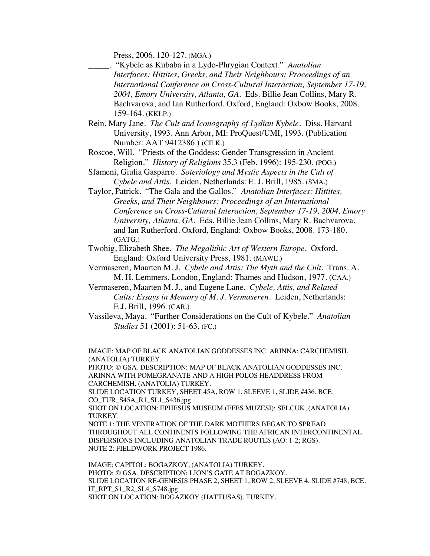Press, 2006. 120-127. (MGA.)

\_\_\_\_\_. "Kybele as Kubaba in a Lydo-Phrygian Context." *Anatolian Interfaces: Hittites, Greeks, and Their Neighbours: Proceedings of an International Conference on Cross-Cultural Interaction, September 17-19, 2004, Emory University, Atlanta, GA.* Eds. Billie Jean Collins, Mary R. Bachvarova, and Ian Rutherford. Oxford, England: Oxbow Books, 2008. 159-164. (KKLP.)

- Rein, Mary Jane. *The Cult and Iconography of Lydian Kybele*. Diss. Harvard University, 1993. Ann Arbor, MI: ProQuest/UMI, 1993. **(**Publication Number: AAT 9412386.) (CILK.)
- Roscoe, Will. "Priests of the Goddess: Gender Transgression in Ancient Religion." *History of Religions* 35.3 (Feb. 1996): 195-230. (POG.)
- Sfameni, Giulia Gasparro. *Soteriology and Mystic Aspects in the Cult of Cybele and Attis.* Leiden, Netherlands: E. J. Brill, 1985. (SMA.)
- Taylor, Patrick. "The Gala and the Gallos." *Anatolian Interfaces: Hittites, Greeks, and Their Neighbours: Proceedings of an International Conference on Cross-Cultural Interaction, September 17-19, 2004, Emory University, Atlanta, GA.* Eds. Billie Jean Collins, Mary R. Bachvarova, and Ian Rutherford. Oxford, England: Oxbow Books, 2008. 173-180. (GATG.)
- Twohig, Elizabeth Shee. *The Megalithic Art of Western Europe*. Oxford, England: Oxford University Press, 1981. (MAWE.)
- Vermaseren, Maarten M. J. *Cybele and Attis: The Myth and the Cult.* Trans. A. M. H. Lemmers. London, England: Thames and Hudson, 1977. (CAA.)
- Vermaseren, Maarten M. J., and Eugene Lane. *Cybele, Attis, and Related Cults: Essays in Memory of M. J. Vermaseren*. Leiden, Netherlands: E.J. Brill, 1996. (CAR.)
- Vassileva, Maya. "Further Considerations on the Cult of Kybele." *Anatolian Studies* 51 (2001): 51-63. (FC.)

IMAGE: MAP OF BLACK ANATOLIAN GODDESSES INC. ARINNA: CARCHEMISH, (ANATOLIA) TURKEY.

PHOTO: © GSA. DESCRIPTION: MAP OF BLACK ANATOLIAN GODDESSES INC. ARINNA WITH POMEGRANATE AND A HIGH POLOS HEADDRESS FROM CARCHEMISH, (ANATOLIA) TURKEY.

SLIDE LOCATION TURKEY, SHEET 45A, ROW 1, SLEEVE 1, SLIDE #436, BCE. CO\_TUR\_S45A\_R1\_SL1\_S436.jpg

SHOT ON LOCATION: EPHESUS MUSEUM (EFES MUZESI): SELCUK, (ANATOLIA) TURKEY.

NOTE 1: THE VENERATION OF THE DARK MOTHERS BEGAN TO SPREAD THROUGHOUT ALL CONTINENTS FOLLOWING THE AFRICAN INTERCONTINENTAL DISPERSIONS INCLUDING ANATOLIAN TRADE ROUTES (AO: 1-2; RGS). NOTE 2: FIELDWORK PROJECT 1986.

IMAGE: CAPITOL: BOGAZKOY, (ANATOLIA) TURKEY. PHOTO: © GSA. DESCRIPTION: LION'S GATE AT BOGAZKOY. SLIDE LOCATION RE-GENESIS PHASE 2, SHEET 1, ROW 2, SLEEVE 4, SLIDE #748, BCE. IT\_RPT\_S1\_R2\_SL4\_S748.jpg SHOT ON LOCATION: BOGAZKOY (HATTUSAS), TURKEY.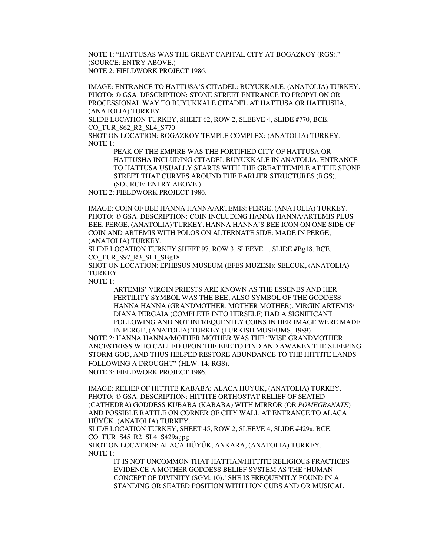NOTE 1: "HATTUSAS WAS THE GREAT CAPITAL CITY AT BOGAZKOY (RGS)." (SOURCE: ENTRY ABOVE.) NOTE 2: FIELDWORK PROJECT 1986.

IMAGE: ENTRANCE TO HATTUSA'S CITADEL: BUYUKKALE, (ANATOLIA) TURKEY. PHOTO: © GSA. DESCRIPTION: STONE STREET ENTRANCE TO PROPYLON OR PROCESSIONAL WAY TO BUYUKKALE CITADEL AT HATTUSA OR HATTUSHA, (ANATOLIA) TURKEY.

SLIDE LOCATION TURKEY, SHEET 62, ROW 2, SLEEVE 4, SLIDE #770, BCE. CO\_TUR\_S62\_R2\_SL4\_S770

SHOT ON LOCATION: BOGAZKOY TEMPLE COMPLEX: (ANATOLIA) TURKEY. NOTE 1:

PEAK OF THE EMPIRE WAS THE FORTIFIED CITY OF HATTUSA OR HATTUSHA INCLUDING CITADEL BUYUKKALE IN ANATOLIA. ENTRANCE TO HATTUSA USUALLY STARTS WITH THE GREAT TEMPLE AT THE STONE STREET THAT CURVES AROUND THE EARLIER STRUCTURES (RGS). (SOURCE: ENTRY ABOVE.)

NOTE 2: FIELDWORK PROJECT 1986.

IMAGE: COIN OF BEE HANNA HANNA/ARTEMIS: PERGE, (ANATOLIA) TURKEY. PHOTO: © GSA. DESCRIPTION: COIN INCLUDING HANNA HANNA/ARTEMIS PLUS BEE, PERGE, (ANATOLIA) TURKEY. HANNA HANNA'S BEE ICON ON ONE SIDE OF COIN AND ARTEMIS WITH POLOS ON ALTERNATE SIDE: MADE IN PERGE, (ANATOLIA) TURKEY.

SLIDE LOCATION TURKEY SHEET 97, ROW 3, SLEEVE 1, SLIDE #Bg18, BCE. CO TUR S97 R3 SL1 SBg18

SHOT ON LOCATION: EPHESUS MUSEUM (EFES MUZESI): SELCUK, (ANATOLIA) TURKEY.

NOTE 1:

ARTEMIS' VIRGIN PRIESTS ARE KNOWN AS THE ESSENES AND HER FERTILITY SYMBOL WAS THE BEE, ALSO SYMBOL OF THE GODDESS HANNA HANNA (GRANDMOTHER, MOTHER MOTHER). VIRGIN ARTEMIS/ DIANA PERGAIA (COMPLETE INTO HERSELF) HAD A SIGNIFICANT FOLLOWING AND NOT INFREQUENTLY COINS IN HER IMAGE WERE MADE IN PERGE, (ANATOLIA) TURKEY (TURKISH MUSEUMS, 1989).

NOTE 2: HANNA HANNA/MOTHER MOTHER WAS THE "WISE GRANDMOTHER ANCESTRESS WHO CALLED UPON THE BEE TO FIND AND AWAKEN THE SLEEPING STORM GOD, AND THUS HELPED RESTORE ABUNDANCE TO THE HITTITE LANDS FOLLOWING A DROUGHT" (HLW: 14; RGS).

NOTE 3: FIELDWORK PROJECT 1986.

IMAGE: RELIEF OF HITTITE KABABA: ALACA HÜYÜK, (ANATOLIA) TURKEY. PHOTO: © GSA. DESCRIPTION: HITTITE ORTHOSTAT RELIEF OF SEATED (CATHEDRA) GODDESS KUBABA (KABABA) WITH MIRROR (OR *POMEGRANATE*) AND POSSIBLE RATTLE ON CORNER OF CITY WALL AT ENTRANCE TO ALACA HÜYÜK, (ANATOLIA) TURKEY.

SLIDE LOCATION TURKEY, SHEET 45, ROW 2, SLEEVE 4, SLIDE #429a, BCE. CO\_TUR\_S45\_R2\_SL4\_S429a.jpg

SHOT ON LOCATION: ALACA HÜYÜK, ANKARA, (ANATOLIA) TURKEY. NOTE 1:

> IT IS NOT UNCOMMON THAT HATTIAN/HITTITE RELIGIOUS PRACTICES EVIDENCE A MOTHER GODDESS BELIEF SYSTEM AS THE 'HUMAN CONCEPT OF DIVINITY (SGM: 10).' SHE IS FREQUENTLY FOUND IN A STANDING OR SEATED POSITION WITH LION CUBS AND OR MUSICAL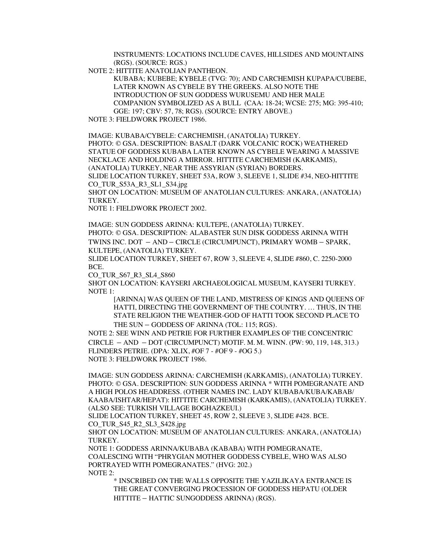INSTRUMENTS: LOCATIONS INCLUDE CAVES, HILLSIDES AND MOUNTAINS (RGS). (SOURCE: RGS.)

NOTE 2: HITTITE ANATOLIAN PANTHEON.

KUBABA; KUBEBE; KYBELE (TVG: 70); AND CARCHEMISH KUPAPA/CUBEBE, LATER KNOWN AS CYBELE BY THE GREEKS. ALSO NOTE THE INTRODUCTION OF SUN GODDESS WURUSEMU AND HER MALE COMPANION SYMBOLIZED AS A BULL (CAA: 18-24; WCSE: 275; MG: 395-410; GGE: 197; CBV: 57, 78; RGS). (SOURCE: ENTRY ABOVE.)

NOTE 3: FIELDWORK PROJECT 1986.

IMAGE: KUBABA/CYBELE: CARCHEMISH, (ANATOLIA) TURKEY.

PHOTO: © GSA. DESCRIPTION: BASALT (DARK VOLCANIC ROCK) WEATHERED STATUE OF GODDESS KUBABA LATER KNOWN AS CYBELE WEARING A MASSIVE NECKLACE AND HOLDING A MIRROR. HITTITE CARCHEMISH (KARKAMIS), (ANATOLIA) TURKEY, NEAR THE ASSYRIAN (SYRIAN) BORDERS.

SLIDE LOCATION TURKEY, SHEET 53A, ROW 3, SLEEVE 1, SLIDE #34, NEO-HITTITE CO\_TUR\_S53A\_R3\_SL1\_S34.jpg

SHOT ON LOCATION: MUSEUM OF ANATOLIAN CULTURES: ANKARA, (ANATOLIA) TURKEY.

NOTE 1: FIELDWORK PROJECT 2002.

IMAGE: SUN GODDESS ARINNA: KULTEPE, (ANATOLIA) TURKEY.

PHOTO: © GSA. DESCRIPTION: ALABASTER SUN DISK GODDESS ARINNA WITH TWINS INC. DOT – AND – CIRCLE (CIRCUMPUNCT), PRIMARY WOMB – SPARK, KULTEPE, (ANATOLIA) TURKEY.

SLIDE LOCATION TURKEY, SHEET 67, ROW 3, SLEEVE 4, SLIDE #860, C. 2250-2000 BCE.

CO\_TUR\_S67\_R3\_SL4\_S860

SHOT ON LOCATION: KAYSERI ARCHAEOLOGICAL MUSEUM, KAYSERI TURKEY. NOTE 1:

[ARINNA] WAS QUEEN OF THE LAND, MISTRESS OF KINGS AND QUEENS OF HATTI, DIRECTING THE GOVERNMENT OF THE COUNTRY. … THUS, IN THE STATE RELIGION THE WEATHER-GOD OF HATTI TOOK SECOND PLACE TO THE SUN – GODDESS OF ARINNA (TOL: 115; RGS).

NOTE 2: SEE WINN AND PETRIE FOR FURTHER EXAMPLES OF THE CONCENTRIC CIRCLE – AND – DOT (CIRCUMPUNCT) MOTIF. M. M. WINN. (PW: 90, 119, 148, 313.) FLINDERS PETRIE. (DPA: XLIX, #OF 7 - #OF 9 - #OG 5.) NOTE 3: FIELDWORK PROJECT 1986.

IMAGE: SUN GODDESS ARINNA: CARCHEMISH (KARKAMIS), (ANATOLIA) TURKEY. PHOTO: © GSA. DESCRIPTION: SUN GODDESS ARINNA \* WITH POMEGRANATE AND A HIGH POLOS HEADDRESS. (OTHER NAMES INC. LADY KUBABA/KUBA/KABAB/ KAABA/ISHTAR/HEPAT): HITTITE CARCHEMISH (KARKAMIS), (ANATOLIA) TURKEY. (ALSO SEE: TURKISH VILLAGE BOGHAZKEUI.)

SLIDE LOCATION TURKEY, SHEET 45, ROW 2, SLEEVE 3, SLIDE #428. BCE. CO\_TUR\_S45\_R2\_SL3\_S428.jpg

SHOT ON LOCATION: MUSEUM OF ANATOLIAN CULTURES: ANKARA, (ANATOLIA) TURKEY.

NOTE 1: GODDESS ARINNA/KUBABA (KABABA) WITH POMEGRANATE, COALESCING WITH "PHRYGIAN MOTHER GODDESS CYBELE, WHO WAS ALSO PORTRAYED WITH POMEGRANATES." (HVG: 202.) NOTE 2:

\* INSCRIBED ON THE WALLS OPPOSITE THE YAZILIKAYA ENTRANCE IS THE GREAT CONVERGING PROCESSION OF GODDESS HEPATU (OLDER HITTITE – HATTIC SUNGODDESS ARINNA) (RGS).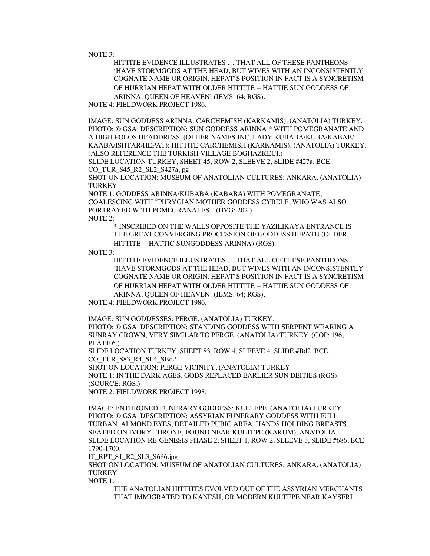NOTE 3:

HITTITE EVIDENCE ILLUSTRATES … THAT ALL OF THESE PANTHEONS 'HAVE STORMGODS AT THE HEAD, BUT WIVES WITH AN INCONSISTENTLY COGNATE NAME OR ORIGIN. HEPAT'S POSITION IN FACT IS A SYNCRETISM OF HURRIAN HEPAT WITH OLDER HITTITE – HATTIE SUN GODDESS OF ARINNA, QUEEN OF HEAVEN' (IEMS: 64; RGS).

NOTE 4: FIELDWORK PROJECT 1986.

IMAGE: SUN GODDESS ARINNA: CARCHEMISH (KARKAMIS), (ANATOLIA) TURKEY. PHOTO: © GSA. DESCRIPTION: SUN GODDESS ARINNA \* WITH POMEGRANATE AND A HIGH POLOS HEADDRESS. (OTHER NAMES INC. LADY KUBABA/KUBA/KABAB/ KAABA/ISHTAR/HEPAT): HITTITE CARCHEMISH (KARKAMIS), (ANATOLIA) TURKEY. (ALSO REFERENCE THE TURKISH VILLAGE BOGHAZKEUI.)

SLIDE LOCATION TURKEY, SHEET 45, ROW 2, SLEEVE 2, SLIDE #427a, BCE. CO\_TUR\_S45\_R2\_SL2\_S427a.jpg

SHOT ON LOCATION: MUSEUM OF ANATOLIAN CULTURES: ANKARA, (ANATOLIA) TURKEY.

NOTE 1: GODDESS ARINNA/KUBABA (KABABA) WITH POMEGRANATE, COALESCING WITH "PHRYGIAN MOTHER GODDESS CYBELE, WHO WAS ALSO PORTRAYED WITH POMEGRANATES." (HVG: 202.) NOTE 2:

\* INSCRIBED ON THE WALLS OPPOSITE THE YAZILIKAYA ENTRANCE IS THE GREAT CONVERGING PROCESSION OF GODDESS HEPATU (OLDER HITTITE – HATTIC SUNGODDESS ARINNA) (RGS).

NOTE 3:

HITTITE EVIDENCE ILLUSTRATES … THAT ALL OF THESE PANTHEONS 'HAVE STORMGODS AT THE HEAD, BUT WIVES WITH AN INCONSISTENTLY COGNATE NAME OR ORIGIN. HEPAT'S POSITION IN FACT IS A SYNCRETISM OF HURRIAN HEPAT WITH OLDER HITTITE – HATTIE SUN GODDESS OF ARINNA, QUEEN OF HEAVEN' (IEMS: 64; RGS).

NOTE 4: FIELDWORK PROJECT 1986.

IMAGE: SUN GODDESSES: PERGE, (ANATOLIA) TURKEY.

PHOTO: © GSA. DESCRIPTION: STANDING GODDESS WITH SERPENT WEARING A SUNRAY CROWN, VERY SIMILAR TO PERGE, (ANATOLIA) TURKEY. (COP: 196, PLATE 6.)

SLIDE LOCATION TURKEY, SHEET 83, ROW 4, SLEEVE 4, SLIDE #Bd2, BCE. CO TUR S83 R4 SL4 SBd2

SHOT ON LOCATION: PERGE VICINITY, (ANATOLIA) TURKEY.

NOTE 1: IN THE DARK AGES, GODS REPLACED EARLIER SUN DEITIES (RGS). (SOURCE: RGS.)

NOTE 2: FIELDWORK PROJECT 1998.

IMAGE: ENTHRONED FUNERARY GODDESS: KULTEPE, (ANATOLIA) TURKEY. PHOTO: © GSA. DESCRIPTION: ASSYRIAN FUNERARY GODDESS WITH FULL TURBAN, ALMOND EYES, DETAILED PUBIC AREA, HANDS HOLDING BREASTS, SEATED ON IVORY THRONE, FOUND NEAR KULTEPE (KARUM), ANATOLIA. SLIDE LOCATION RE-GENESIS PHASE 2, SHEET 1, ROW 2, SLEEVE 3, SLIDE #686, BCE 1790-1700.

IT\_RPT\_S1\_R2\_SL3\_S686.jpg

SHOT ON LOCATION: MUSEUM OF ANATOLIAN CULTURES: ANKARA, (ANATOLIA) TURKEY.

NOTE 1:

THE ANATOLIAN HITTITES EVOLVED OUT OF THE ASSYRIAN MERCHANTS THAT IMMIGRATED TO KANESH, OR MODERN KULTEPE NEAR KAYSERI.